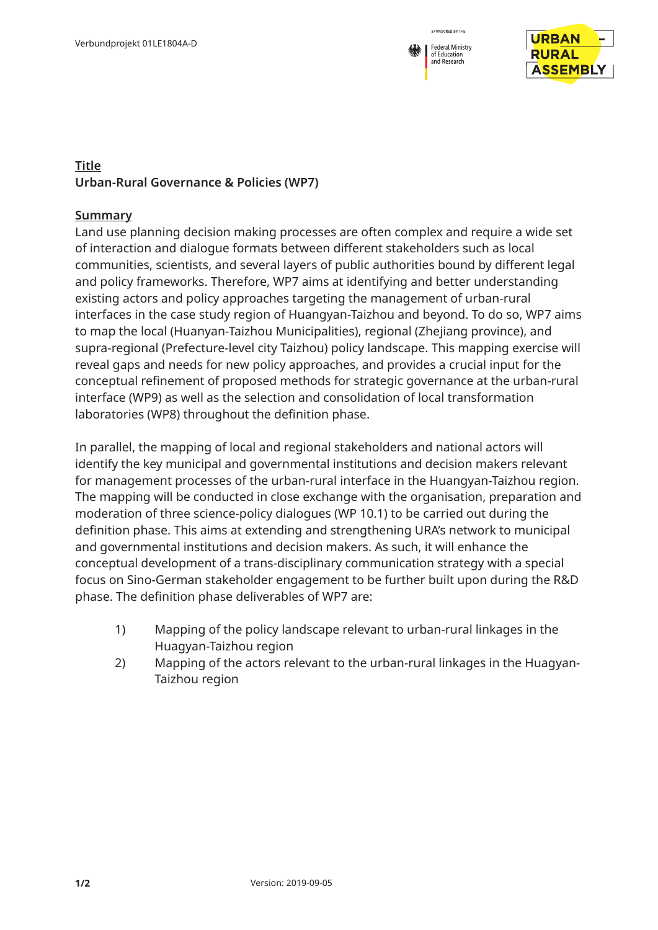



## **Title Urban-Rural Governance & Policies (WP7)**

## **Summary**

Land use planning decision making processes are often complex and require a wide set of interaction and dialogue formats between different stakeholders such as local communities, scientists, and several layers of public authorities bound by different legal and policy frameworks. Therefore, WP7 aims at identifying and better understanding existing actors and policy approaches targeting the management of urban-rural interfaces in the case study region of Huangyan-Taizhou and beyond. To do so, WP7 aims to map the local (Huanyan-Taizhou Municipalities), regional (Zhejiang province), and supra-regional (Prefecture-level city Taizhou) policy landscape. This mapping exercise will reveal gaps and needs for new policy approaches, and provides a crucial input for the conceptual refinement of proposed methods for strategic governance at the urban-rural interface (WP9) as well as the selection and consolidation of local transformation laboratories (WP8) throughout the definition phase.

In parallel, the mapping of local and regional stakeholders and national actors will identify the key municipal and governmental institutions and decision makers relevant for management processes of the urban-rural interface in the Huangyan-Taizhou region. The mapping will be conducted in close exchange with the organisation, preparation and moderation of three science-policy dialogues (WP 10.1) to be carried out during the definition phase. This aims at extending and strengthening URA's network to municipal and governmental institutions and decision makers. As such, it will enhance the conceptual development of a trans-disciplinary communication strategy with a special focus on Sino-German stakeholder engagement to be further built upon during the R&D phase. The definition phase deliverables of WP7 are:

- 1) Mapping of the policy landscape relevant to urban-rural linkages in the Huagyan-Taizhou region
- 2) Mapping of the actors relevant to the urban-rural linkages in the Huagyan-Taizhou region